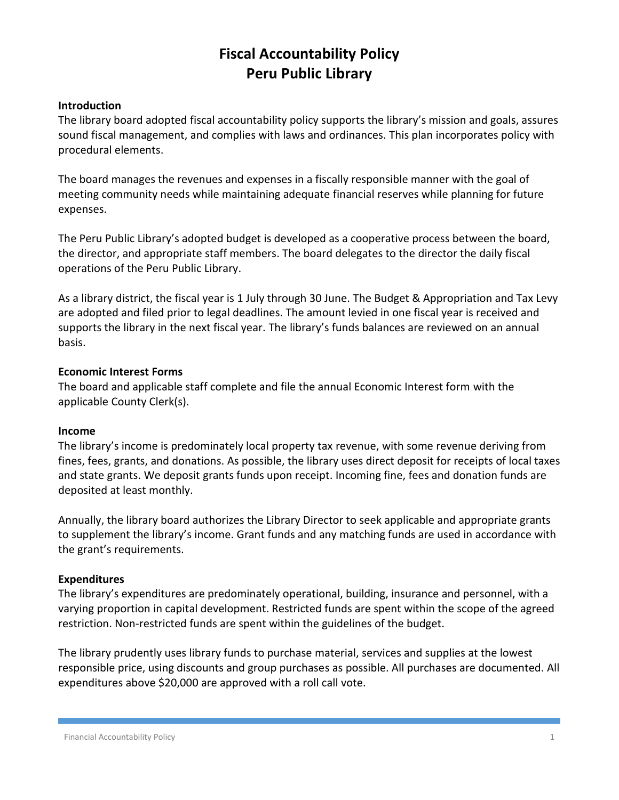# **Fiscal Accountability Policy Peru Public Library**

#### **Introduction**

The library board adopted fiscal accountability policy supports the library's mission and goals, assures sound fiscal management, and complies with laws and ordinances. This plan incorporates policy with procedural elements.

The board manages the revenues and expenses in a fiscally responsible manner with the goal of meeting community needs while maintaining adequate financial reserves while planning for future expenses.

The Peru Public Library's adopted budget is developed as a cooperative process between the board, the director, and appropriate staff members. The board delegates to the director the daily fiscal operations of the Peru Public Library.

As a library district, the fiscal year is 1 July through 30 June. The Budget & Appropriation and Tax Levy are adopted and filed prior to legal deadlines. The amount levied in one fiscal year is received and supports the library in the next fiscal year. The library's funds balances are reviewed on an annual basis.

## **Economic Interest Forms**

The board and applicable staff complete and file the annual Economic Interest form with the applicable County Clerk(s).

# **Income**

The library's income is predominately local property tax revenue, with some revenue deriving from fines, fees, grants, and donations. As possible, the library uses direct deposit for receipts of local taxes and state grants. We deposit grants funds upon receipt. Incoming fine, fees and donation funds are deposited at least monthly.

Annually, the library board authorizes the Library Director to seek applicable and appropriate grants to supplement the library's income. Grant funds and any matching funds are used in accordance with the grant's requirements.

# **Expenditures**

The library's expenditures are predominately operational, building, insurance and personnel, with a varying proportion in capital development. Restricted funds are spent within the scope of the agreed restriction. Non-restricted funds are spent within the guidelines of the budget.

The library prudently uses library funds to purchase material, services and supplies at the lowest responsible price, using discounts and group purchases as possible. All purchases are documented. All expenditures above \$20,000 are approved with a roll call vote.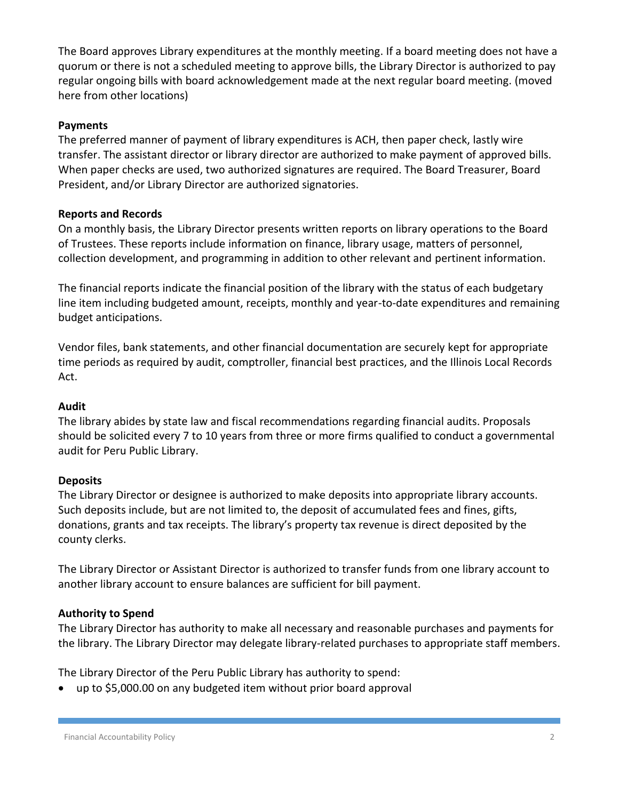The Board approves Library expenditures at the monthly meeting. If a board meeting does not have a quorum or there is not a scheduled meeting to approve bills, the Library Director is authorized to pay regular ongoing bills with board acknowledgement made at the next regular board meeting. (moved here from other locations)

## **Payments**

The preferred manner of payment of library expenditures is ACH, then paper check, lastly wire transfer. The assistant director or library director are authorized to make payment of approved bills. When paper checks are used, two authorized signatures are required. The Board Treasurer, Board President, and/or Library Director are authorized signatories.

## **Reports and Records**

On a monthly basis, the Library Director presents written reports on library operations to the Board of Trustees. These reports include information on finance, library usage, matters of personnel, collection development, and programming in addition to other relevant and pertinent information.

The financial reports indicate the financial position of the library with the status of each budgetary line item including budgeted amount, receipts, monthly and year-to-date expenditures and remaining budget anticipations.

Vendor files, bank statements, and other financial documentation are securely kept for appropriate time periods as required by audit, comptroller, financial best practices, and the Illinois Local Records Act.

#### **Audit**

The library abides by state law and fiscal recommendations regarding financial audits. Proposals should be solicited every 7 to 10 years from three or more firms qualified to conduct a governmental audit for Peru Public Library.

#### **Deposits**

The Library Director or designee is authorized to make deposits into appropriate library accounts. Such deposits include, but are not limited to, the deposit of accumulated fees and fines, gifts, donations, grants and tax receipts. The library's property tax revenue is direct deposited by the county clerks.

The Library Director or Assistant Director is authorized to transfer funds from one library account to another library account to ensure balances are sufficient for bill payment.

# **Authority to Spend**

The Library Director has authority to make all necessary and reasonable purchases and payments for the library. The Library Director may delegate library-related purchases to appropriate staff members.

The Library Director of the Peru Public Library has authority to spend:

up to \$5,000.00 on any budgeted item without prior board approval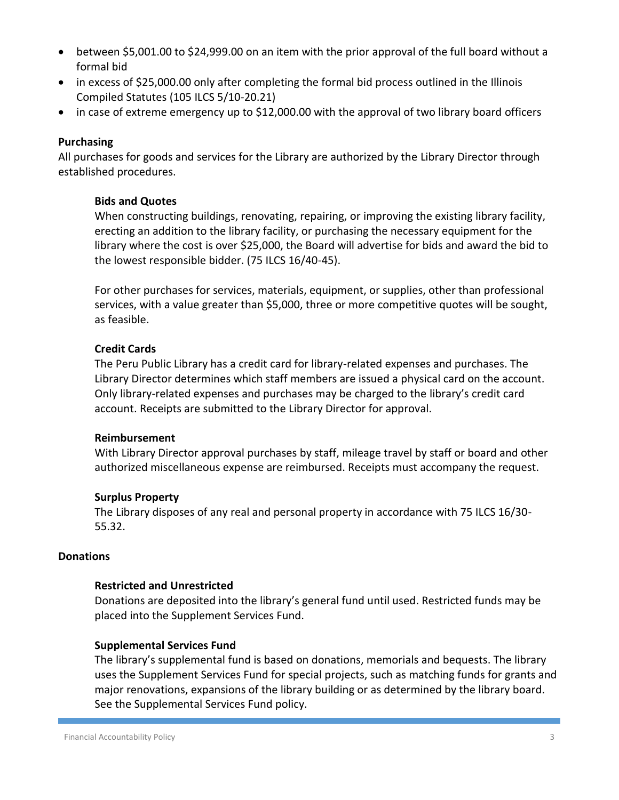- between \$5,001.00 to \$24,999.00 on an item with the prior approval of the full board without a formal bid
- in excess of \$25,000.00 only after completing the formal bid process outlined in the Illinois Compiled Statutes (105 ILCS 5/10-20.21)
- in case of extreme emergency up to \$12,000.00 with the approval of two library board officers

#### **Purchasing**

All purchases for goods and services for the Library are authorized by the Library Director through established procedures.

#### **Bids and Quotes**

When constructing buildings, renovating, repairing, or improving the existing library facility, erecting an addition to the library facility, or purchasing the necessary equipment for the library where the cost is over \$25,000, the Board will advertise for bids and award the bid to the lowest responsible bidder. (75 ILCS 16/40-45).

For other purchases for services, materials, equipment, or supplies, other than professional services, with a value greater than \$5,000, three or more competitive quotes will be sought, as feasible.

#### **Credit Cards**

The Peru Public Library has a credit card for library-related expenses and purchases. The Library Director determines which staff members are issued a physical card on the account. Only library-related expenses and purchases may be charged to the library's credit card account. Receipts are submitted to the Library Director for approval.

#### **Reimbursement**

With Library Director approval purchases by staff, mileage travel by staff or board and other authorized miscellaneous expense are reimbursed. Receipts must accompany the request.

#### **Surplus Property**

The Library disposes of any real and personal property in accordance with 75 ILCS 16/30- 55.32.

#### **Donations**

#### **Restricted and Unrestricted**

Donations are deposited into the library's general fund until used. Restricted funds may be placed into the Supplement Services Fund.

#### **Supplemental Services Fund**

The library's supplemental fund is based on donations, memorials and bequests. The library uses the Supplement Services Fund for special projects, such as matching funds for grants and major renovations, expansions of the library building or as determined by the library board. See the Supplemental Services Fund policy.